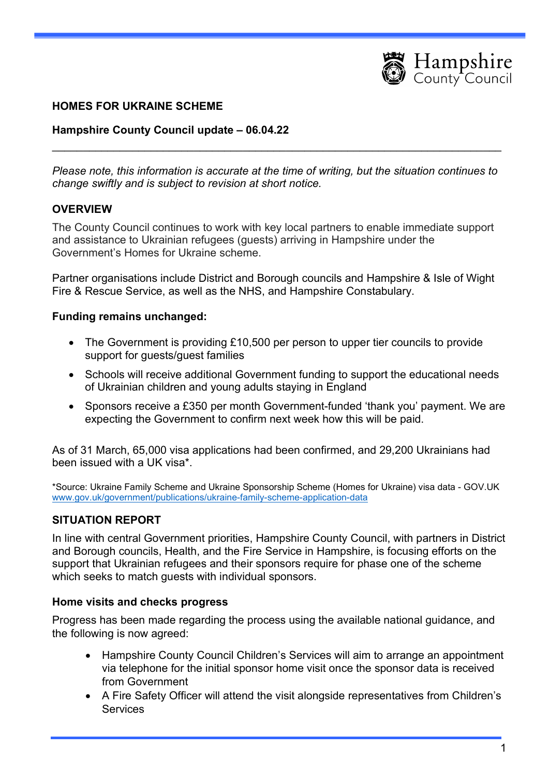

#### HOMES FOR UKRAINE SCHEME

#### Hampshire County Council update – 06.04.22

Please note, this information is accurate at the time of writing, but the situation continues to change swiftly and is subject to revision at short notice.

 $\_$  , and the contribution of the contribution of  $\mathcal{L}_\mathcal{A}$  , and the contribution of  $\mathcal{L}_\mathcal{A}$ 

#### **OVERVIEW**

The County Council continues to work with key local partners to enable immediate support and assistance to Ukrainian refugees (guests) arriving in Hampshire under the Government's Homes for Ukraine scheme.

Partner organisations include District and Borough councils and Hampshire & Isle of Wight Fire & Rescue Service, as well as the NHS, and Hampshire Constabulary.

#### Funding remains unchanged:

- The Government is providing £10,500 per person to upper tier councils to provide support for guests/guest families
- Schools will receive additional Government funding to support the educational needs of Ukrainian children and young adults staying in England
- Sponsors receive a £350 per month Government-funded 'thank you' payment. We are expecting the Government to confirm next week how this will be paid.

As of 31 March, 65,000 visa applications had been confirmed, and 29,200 Ukrainians had been issued with a UK visa\*.

\*Source: Ukraine Family Scheme and Ukraine Sponsorship Scheme (Homes for Ukraine) visa data - GOV.UK www.gov.uk/government/publications/ukraine-family-scheme-application-data

#### SITUATION REPORT

In line with central Government priorities, Hampshire County Council, with partners in District and Borough councils, Health, and the Fire Service in Hampshire, is focusing efforts on the support that Ukrainian refugees and their sponsors require for phase one of the scheme which seeks to match guests with individual sponsors.

#### Home visits and checks progress

Progress has been made regarding the process using the available national guidance, and the following is now agreed:

- Hampshire County Council Children's Services will aim to arrange an appointment via telephone for the initial sponsor home visit once the sponsor data is received from Government
- A Fire Safety Officer will attend the visit alongside representatives from Children's **Services**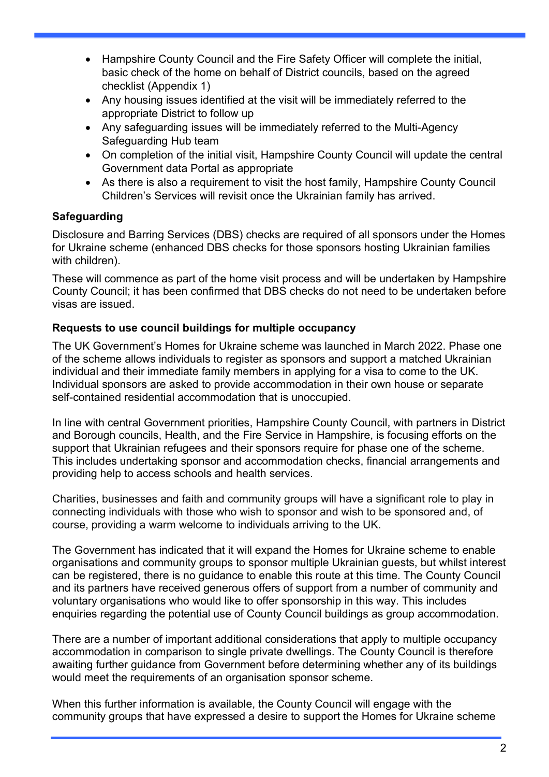- Hampshire County Council and the Fire Safety Officer will complete the initial, basic check of the home on behalf of District councils, based on the agreed checklist (Appendix 1)
- Any housing issues identified at the visit will be immediately referred to the appropriate District to follow up
- Any safeguarding issues will be immediately referred to the Multi-Agency Safeguarding Hub team
- On completion of the initial visit, Hampshire County Council will update the central Government data Portal as appropriate
- As there is also a requirement to visit the host family, Hampshire County Council Children's Services will revisit once the Ukrainian family has arrived.

# **Safeguarding**

Disclosure and Barring Services (DBS) checks are required of all sponsors under the Homes for Ukraine scheme (enhanced DBS checks for those sponsors hosting Ukrainian families with children).

These will commence as part of the home visit process and will be undertaken by Hampshire County Council; it has been confirmed that DBS checks do not need to be undertaken before visas are issued.

# Requests to use council buildings for multiple occupancy

The UK Government's Homes for Ukraine scheme was launched in March 2022. Phase one of the scheme allows individuals to register as sponsors and support a matched Ukrainian individual and their immediate family members in applying for a visa to come to the UK. Individual sponsors are asked to provide accommodation in their own house or separate self-contained residential accommodation that is unoccupied.

In line with central Government priorities, Hampshire County Council, with partners in District and Borough councils, Health, and the Fire Service in Hampshire, is focusing efforts on the support that Ukrainian refugees and their sponsors require for phase one of the scheme. This includes undertaking sponsor and accommodation checks, financial arrangements and providing help to access schools and health services.

Charities, businesses and faith and community groups will have a significant role to play in connecting individuals with those who wish to sponsor and wish to be sponsored and, of course, providing a warm welcome to individuals arriving to the UK.

The Government has indicated that it will expand the Homes for Ukraine scheme to enable organisations and community groups to sponsor multiple Ukrainian guests, but whilst interest can be registered, there is no guidance to enable this route at this time. The County Council and its partners have received generous offers of support from a number of community and voluntary organisations who would like to offer sponsorship in this way. This includes enquiries regarding the potential use of County Council buildings as group accommodation.

There are a number of important additional considerations that apply to multiple occupancy accommodation in comparison to single private dwellings. The County Council is therefore awaiting further guidance from Government before determining whether any of its buildings would meet the requirements of an organisation sponsor scheme.

When this further information is available, the County Council will engage with the community groups that have expressed a desire to support the Homes for Ukraine scheme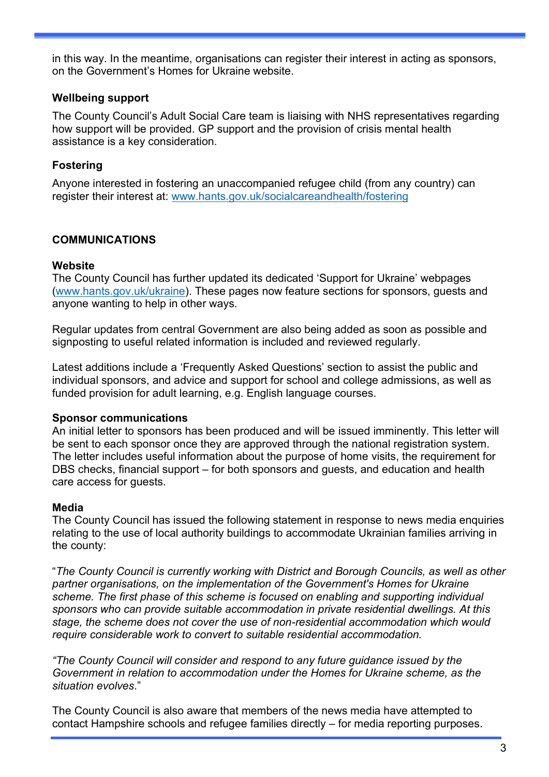in this way. In the meantime, organisations can register their interest in acting as sponsors, on the Government's Homes for Ukraine website.

## Wellbeing support

The County Council's Adult Social Care team is liaising with NHS representatives regarding how support will be provided. GP support and the provision of crisis mental health assistance is a key consideration.

# Fostering

Anyone interested in fostering an unaccompanied refugee child (from any country) can register their interest at: www.hants.gov.uk/socialcareandhealth/fostering

# COMMUNICATIONS

#### **Website**

The County Council has further updated its dedicated 'Support for Ukraine' webpages (www.hants.gov.uk/ukraine). These pages now feature sections for sponsors, guests and anyone wanting to help in other ways.

Regular updates from central Government are also being added as soon as possible and signposting to useful related information is included and reviewed regularly.

Latest additions include a 'Frequently Asked Questions' section to assist the public and individual sponsors, and advice and support for school and college admissions, as well as funded provision for adult learning, e.g. English language courses.

## Sponsor communications

An initial letter to sponsors has been produced and will be issued imminently. This letter will be sent to each sponsor once they are approved through the national registration system. The letter includes useful information about the purpose of home visits, the requirement for DBS checks, financial support – for both sponsors and guests, and education and health care access for guests.

## Media

The County Council has issued the following statement in response to news media enquiries relating to the use of local authority buildings to accommodate Ukrainian families arriving in the county:

"The County Council is currently working with District and Borough Councils, as well as other partner organisations, on the implementation of the Government's Homes for Ukraine scheme. The first phase of this scheme is focused on enabling and supporting individual sponsors who can provide suitable accommodation in private residential dwellings. At this stage, the scheme does not cover the use of non-residential accommodation which would require considerable work to convert to suitable residential accommodation.

"The County Council will consider and respond to any future guidance issued by the Government in relation to accommodation under the Homes for Ukraine scheme, as the situation evolves."

The County Council is also aware that members of the news media have attempted to contact Hampshire schools and refugee families directly – for media reporting purposes.